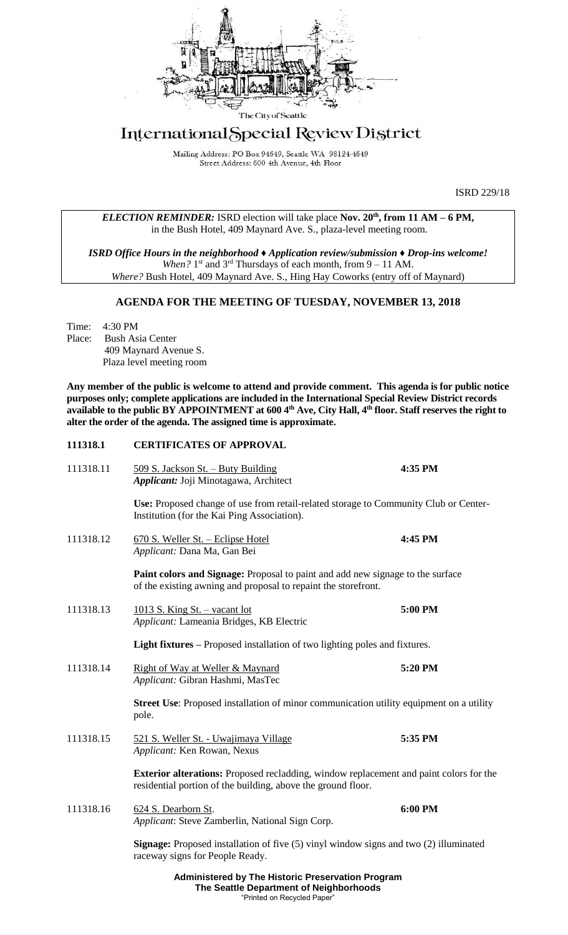

# International Special Review District

Mailing Address: PO Box 94649, Seattle WA 98124-4649 Street Address: 600 4th Avenue, 4th Floor

ISRD 229/18

*ELECTION REMINDER:* ISRD election will take place **Nov. 20th, from 11 AM – 6 PM,** in the Bush Hotel, 409 Maynard Ave. S., plaza-level meeting room.

*ISRD Office Hours in the neighborhood ♦ Application review/submission ♦ Drop-ins welcome!* When? 1<sup>st</sup> and 3<sup>rd</sup> Thursdays of each month, from 9 - 11 AM. *Where?* Bush Hotel, 409 Maynard Ave. S., Hing Hay Coworks (entry off of Maynard)

# **AGENDA FOR THE MEETING OF TUESDAY, NOVEMBER 13, 2018**

Time: 4:30 PM Place: Bush Asia Center 409 Maynard Avenue S. Plaza level meeting room

**Any member of the public is welcome to attend and provide comment. This agenda is for public notice purposes only; complete applications are included in the International Special Review District records available to the public BY APPOINTMENT at 600 4th Ave, City Hall, 4th floor. Staff reserves the right to alter the order of the agenda. The assigned time is approximate.** 

# **Administered by The Historic Preservation Program 111318.1 CERTIFICATES OF APPROVAL** 111318.11 509 S. Jackson St. – Buty Building **4:35 PM** *Applicant:* Joji Minotagawa, Architect **Use:** Proposed change of use from retail-related storage to Community Club or Center-Institution (for the Kai Ping Association). 111318.12 670 S. Weller St. – Eclipse Hotel **4:45 PM** *Applicant:* Dana Ma, Gan Bei **Paint colors and Signage:** Proposal to paint and add new signage to the surface of the existing awning and proposal to repaint the storefront. 111318.13 1013 S. King St. – vacant lot **5:00 PM** *Applicant:* Lameania Bridges, KB Electric **Light fixtures –** Proposed installation of two lighting poles and fixtures. 111318.14 Right of Way at Weller & Maynard **5:20 PM** *Applicant:* Gibran Hashmi, MasTec **Street Use**: Proposed installation of minor communication utility equipment on a utility pole. 111318.15 521 S. Weller St. - Uwajimaya Village **5:35 PM** *Applicant:* Ken Rowan, Nexus **Exterior alterations:** Proposed recladding, window replacement and paint colors for the residential portion of the building, above the ground floor. 111318.16 624 S. Dearborn St. **6:00 PM** *Applicant*: Steve Zamberlin, National Sign Corp. **Signage:** Proposed installation of five (5) vinyl window signs and two (2) illuminated raceway signs for People Ready.

**The Seattle Department of Neighborhoods** "Printed on Recycled Paper"